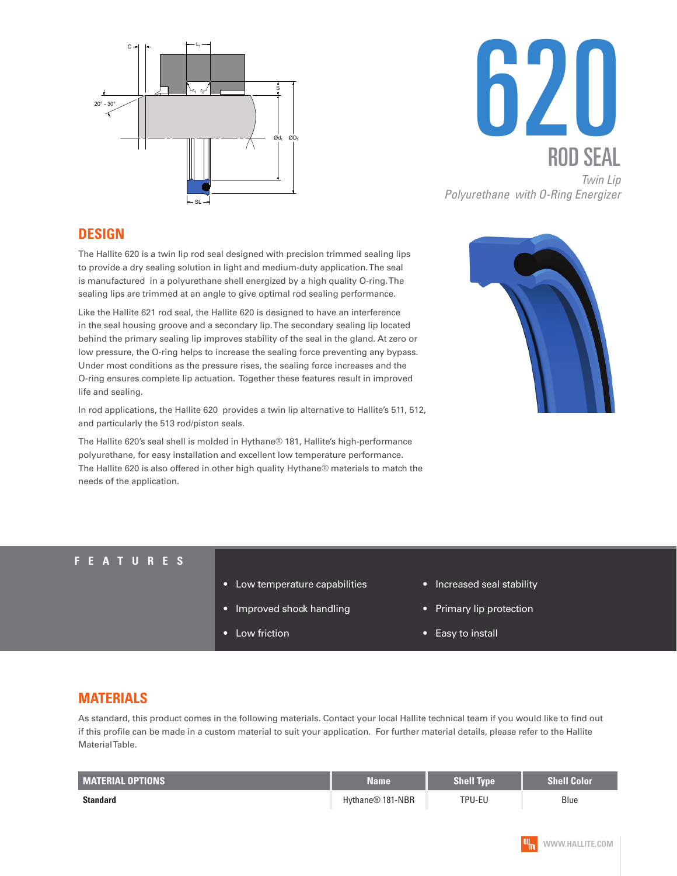



### **DESIGN**

The Hallite 620 is a twin lip rod seal designed with precision trimmed sealing lips to provide a dry sealing solution in light and medium-duty application. The seal is manufactured in a polyurethane shell energized by a high quality O-ring. The sealing lips are trimmed at an angle to give optimal rod sealing performance.

Like the Hallite 621 rod seal, the Hallite 620 is designed to have an interference in the seal housing groove and a secondary lip. The secondary sealing lip located behind the primary sealing lip improves stability of the seal in the gland. At zero or low pressure, the O-ring helps to increase the sealing force preventing any bypass. Under most conditions as the pressure rises, the sealing force increases and the O-ring ensures complete lip actuation. Together these features result in improved life and sealing.

In rod applications, the Hallite 620 provides a twin lip alternative to Hallite's 511, 512, and particularly the 513 rod/piston seals.

The Hallite 620's seal shell is molded in Hythane® 181, Hallite's high-performance polyurethane, for easy installation and excellent low temperature performance. The Hallite 620 is also offered in other high quality Hythane® materials to match the needs of the application.



#### **FEATURES**

- Low temperature capabilities
- Improved shock handling
- Low friction
- Increased seal stability
- Primary lip protection
- Easy to install

### **MATERIALS**

As standard, this product comes in the following materials. Contact your local Hallite technical team if you would like to find out if this profile can be made in a custom material to suit your application. For further material details, please refer to the Hallite Material Table.

| <b>MATERIAL OPTIONS</b> | Name             | <b>Shell Type</b> | <b>Shell Color</b> |
|-------------------------|------------------|-------------------|--------------------|
| <b>Standard</b>         | Hythane® 181-NBR | TPU-EU            | Blue               |

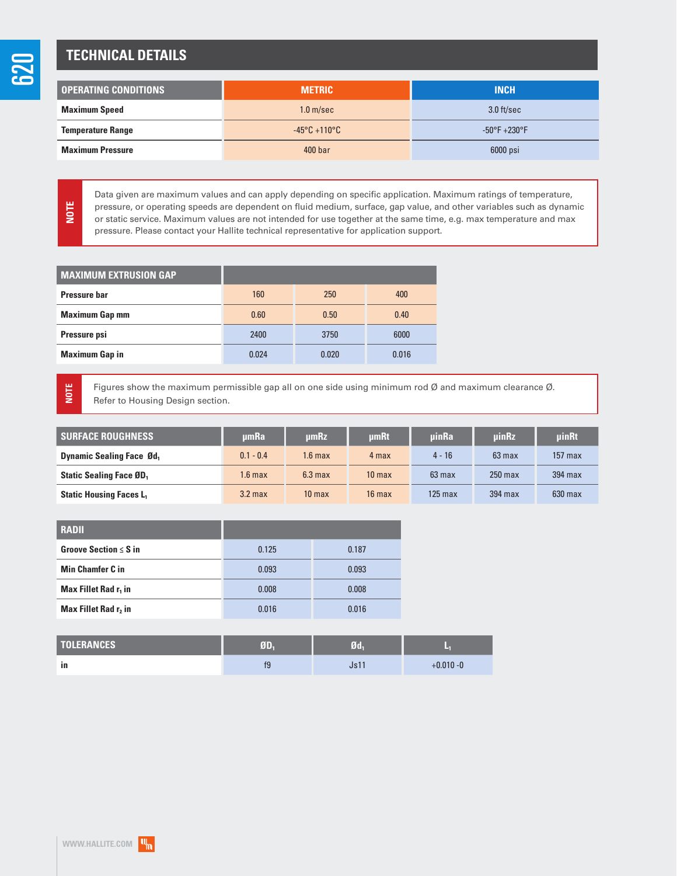**NOTE**

**NOTE**

# **TECHNICAL DETAILS**

| <b>OPERATING CONDITIONS</b> | <b>METRIC</b>                     | <b>INCH</b>                      |  |
|-----------------------------|-----------------------------------|----------------------------------|--|
| <b>Maximum Speed</b>        | 1.0 <sub>m/sec</sub>              | $3.0$ ft/sec                     |  |
| <b>Temperature Range</b>    | $-45^{\circ}$ C +110 $^{\circ}$ C | $-50^{\circ}$ F $+230^{\circ}$ F |  |
| <b>Maximum Pressure</b>     | 400 <sub>bar</sub>                | 6000 psi                         |  |

Data given are maximum values and can apply depending on specific application. Maximum ratings of temperature, pressure, or operating speeds are dependent on fluid medium, surface, gap value, and other variables such as dynamic or static service. Maximum values are not intended for use together at the same time, e.g. max temperature and max pressure. Please contact your Hallite technical representative for application support.

| 250   | 400                          |
|-------|------------------------------|
| 0.50  | 0.40                         |
| 3750  | 6000                         |
| 0.020 | 0.016                        |
|       | 160<br>0.60<br>2400<br>0.024 |

Figures show the maximum permissible gap all on one side using minimum rod Ø and maximum clearance Ø. Refer to Housing Design section.

| <b>SURFACE ROUGHNESS</b>         | umRa               | umRz               | <b>umRt</b>       | uinRa     | <b>uinRz</b> | <b>uinRt</b> |
|----------------------------------|--------------------|--------------------|-------------------|-----------|--------------|--------------|
| <b>Dynamic Sealing Face Ød</b> , | $0.1 - 0.4$        | $1.6 \text{ max}$  | 4 max             | $4 - 16$  | $63$ max     | $157$ max    |
| <b>Static Sealing Face ØD</b> ,  | 1.6 <sub>max</sub> | 6.3 <sub>max</sub> | 10 <sub>max</sub> | $63$ max  | $250$ max    | $394$ max    |
| <b>Static Housing Faces L</b>    | 3.2 <sub>max</sub> | 10 <sub>max</sub>  | $16$ max          | $125$ max | 394 max      | $630$ max    |

| 0.125 | 0.187 |
|-------|-------|
| 0.093 | 0.093 |
| 0.008 | 0.008 |
| 0.016 | 0.016 |
|       |       |

| <b>TOLERANCES</b> | VП | 7d                      |              |
|-------------------|----|-------------------------|--------------|
| ٠<br>-in          | f9 | 1 <sub>0</sub> 1<br>UJI | $+0.010 - 0$ |